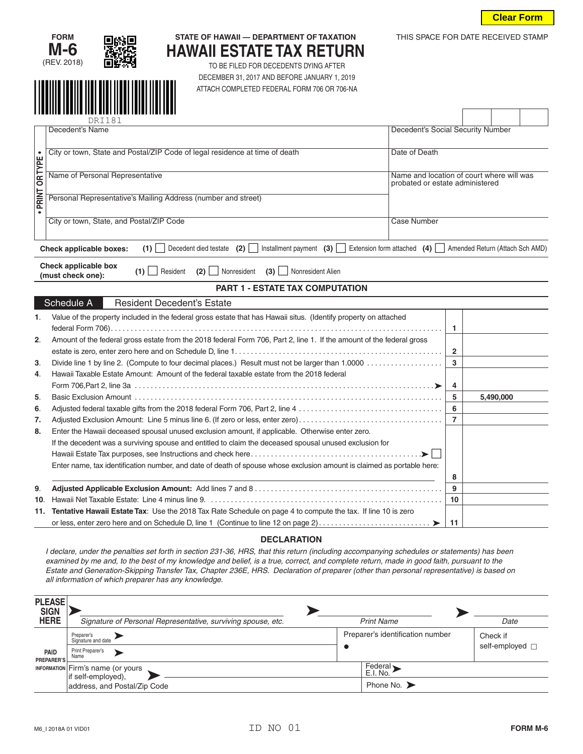THIS SPACE FOR DATE RECEIVED STAMP





## **STATE OF HAWAII — DEPARTMENT OF TAXATION HAWAII ESTATE TAX RETURN**

TO BE FILED FOR DECEDENTS DYING AFTER DECEMBER 31, 2017 AND BEFORE JANUARY 1, 2019 ATTACH COMPLETED FEDERAL FORM 706 OR 706-NA

|                        |                                                                                              | ,,,,,,,,,,,,,,,,,,,,,,,,,,,,                                                                                                                                                                                                                                                                                                                                                                                                                                                                                      |                                               |                    |                |  |                                  |                 |  |
|------------------------|----------------------------------------------------------------------------------------------|-------------------------------------------------------------------------------------------------------------------------------------------------------------------------------------------------------------------------------------------------------------------------------------------------------------------------------------------------------------------------------------------------------------------------------------------------------------------------------------------------------------------|-----------------------------------------------|--------------------|----------------|--|----------------------------------|-----------------|--|
|                        |                                                                                              | DRI181<br>Decedent's Name                                                                                                                                                                                                                                                                                                                                                                                                                                                                                         |                                               |                    |                |  |                                  |                 |  |
|                        |                                                                                              | Decedent's Social Security Number                                                                                                                                                                                                                                                                                                                                                                                                                                                                                 |                                               |                    |                |  |                                  |                 |  |
|                        | City or town, State and Postal/ZIP Code of legal residence at time of death<br>Date of Death |                                                                                                                                                                                                                                                                                                                                                                                                                                                                                                                   |                                               |                    |                |  |                                  |                 |  |
| <b>PRINT OR TYPE .</b> |                                                                                              | Name of Personal Representative<br>Name and location of court where will was<br>probated or estate administered                                                                                                                                                                                                                                                                                                                                                                                                   |                                               |                    |                |  |                                  |                 |  |
|                        |                                                                                              | Personal Representative's Mailing Address (number and street)                                                                                                                                                                                                                                                                                                                                                                                                                                                     |                                               |                    |                |  |                                  |                 |  |
|                        |                                                                                              | City or town, State, and Postal/ZIP Code                                                                                                                                                                                                                                                                                                                                                                                                                                                                          |                                               | <b>Case Number</b> |                |  |                                  |                 |  |
|                        |                                                                                              | Decedent died testate (2) Installment payment (3) Extension form attached (4) Amended Return (Attach Sch AMD)<br>$(1)$    <br><b>Check applicable boxes:</b>                                                                                                                                                                                                                                                                                                                                                      |                                               |                    |                |  |                                  |                 |  |
|                        |                                                                                              | Check applicable box<br>(2)   Nonresident (3)   Nonresident Alien<br>$(1)$   Resident<br>(must check one):                                                                                                                                                                                                                                                                                                                                                                                                        |                                               |                    |                |  |                                  |                 |  |
|                        |                                                                                              | <b>PART 1 - ESTATE TAX COMPUTATION</b>                                                                                                                                                                                                                                                                                                                                                                                                                                                                            |                                               |                    |                |  |                                  |                 |  |
|                        |                                                                                              | Schedule A<br><b>Resident Decedent's Estate</b>                                                                                                                                                                                                                                                                                                                                                                                                                                                                   |                                               |                    |                |  |                                  |                 |  |
| 1.                     |                                                                                              | Value of the property included in the federal gross estate that has Hawaii situs. (Identify property on attached                                                                                                                                                                                                                                                                                                                                                                                                  |                                               |                    | 1              |  |                                  |                 |  |
| 2.                     |                                                                                              | Amount of the federal gross estate from the 2018 federal Form 706, Part 2, line 1. If the amount of the federal gross                                                                                                                                                                                                                                                                                                                                                                                             |                                               |                    | 2              |  |                                  |                 |  |
| 3.                     |                                                                                              |                                                                                                                                                                                                                                                                                                                                                                                                                                                                                                                   |                                               |                    | 3              |  |                                  |                 |  |
| 4.                     |                                                                                              | Hawaii Taxable Estate Amount: Amount of the federal taxable estate from the 2018 federal                                                                                                                                                                                                                                                                                                                                                                                                                          |                                               |                    | 4              |  |                                  |                 |  |
| 5.                     |                                                                                              |                                                                                                                                                                                                                                                                                                                                                                                                                                                                                                                   |                                               |                    | 5              |  | 5,490,000                        |                 |  |
| 6.                     |                                                                                              |                                                                                                                                                                                                                                                                                                                                                                                                                                                                                                                   |                                               |                    | 6              |  |                                  |                 |  |
| 7.                     |                                                                                              | Adjusted Exclusion Amount: Line 5 minus line 6. (If zero or less, enter zero)                                                                                                                                                                                                                                                                                                                                                                                                                                     |                                               |                    | $\overline{7}$ |  |                                  |                 |  |
| 8.                     |                                                                                              | Enter the Hawaii deceased spousal unused exclusion amount, if applicable. Otherwise enter zero.                                                                                                                                                                                                                                                                                                                                                                                                                   |                                               |                    |                |  |                                  |                 |  |
|                        |                                                                                              | If the decedent was a surviving spouse and entitled to claim the deceased spousal unused exclusion for                                                                                                                                                                                                                                                                                                                                                                                                            |                                               |                    |                |  |                                  |                 |  |
|                        |                                                                                              |                                                                                                                                                                                                                                                                                                                                                                                                                                                                                                                   |                                               |                    |                |  |                                  |                 |  |
|                        |                                                                                              | Enter name, tax identification number, and date of death of spouse whose exclusion amount is claimed as portable here:                                                                                                                                                                                                                                                                                                                                                                                            |                                               |                    |                |  |                                  |                 |  |
|                        |                                                                                              |                                                                                                                                                                                                                                                                                                                                                                                                                                                                                                                   |                                               |                    | 8              |  |                                  |                 |  |
| 9.                     |                                                                                              |                                                                                                                                                                                                                                                                                                                                                                                                                                                                                                                   |                                               |                    | 9              |  |                                  |                 |  |
| 10.                    |                                                                                              | Tentative Hawaii Estate Tax: Use the 2018 Tax Rate Schedule on page 4 to compute the tax. If line 10 is zero                                                                                                                                                                                                                                                                                                                                                                                                      |                                               |                    | 10             |  |                                  |                 |  |
| 11.                    |                                                                                              |                                                                                                                                                                                                                                                                                                                                                                                                                                                                                                                   |                                               |                    | 11             |  |                                  |                 |  |
|                        |                                                                                              |                                                                                                                                                                                                                                                                                                                                                                                                                                                                                                                   |                                               |                    |                |  |                                  |                 |  |
|                        |                                                                                              | <b>DECLARATION</b><br>I declare, under the penalties set forth in section 231-36, HRS, that this return (including accompanying schedules or statements) has been<br>examined by me and, to the best of my knowledge and belief, is a true, correct, and complete return, made in good faith, pursuant to the<br>Estate and Generation-Skipping Transfer Tax, Chapter 236E, HRS. Declaration of preparer (other than personal representative) is based on<br>all information of which preparer has any knowledge. |                                               |                    |                |  |                                  |                 |  |
|                        | <b>PLEASE</b><br><b>SIGN</b>                                                                 |                                                                                                                                                                                                                                                                                                                                                                                                                                                                                                                   |                                               |                    |                |  |                                  |                 |  |
|                        | <b>HERE</b>                                                                                  | Signature of Personal Representative, surviving spouse, etc.                                                                                                                                                                                                                                                                                                                                                                                                                                                      | <b>Print Name</b>                             |                    |                |  | Date                             |                 |  |
|                        |                                                                                              | Preparer's<br>⋗<br>Signature and date                                                                                                                                                                                                                                                                                                                                                                                                                                                                             | Preparer's identification number<br>$\bullet$ |                    |                |  | Check if<br>self-employed $\Box$ |                 |  |
|                        | <b>PAID</b><br><b>PREPARER'S</b>                                                             | Print Preparer's<br>×<br>Name                                                                                                                                                                                                                                                                                                                                                                                                                                                                                     |                                               |                    |                |  |                                  |                 |  |
|                        | <b>INFORMATION</b>                                                                           | Firm's name (or yours<br>if self-employed),                                                                                                                                                                                                                                                                                                                                                                                                                                                                       | Federal ><br>E.I. No.                         |                    |                |  |                                  |                 |  |
|                        |                                                                                              | address, and Postal/Zip Code                                                                                                                                                                                                                                                                                                                                                                                                                                                                                      | Phone No. $\blacktriangleright$               |                    |                |  |                                  |                 |  |
|                        |                                                                                              | ID NO 01<br>M6_I 2018A 01 VID01                                                                                                                                                                                                                                                                                                                                                                                                                                                                                   |                                               |                    |                |  |                                  | <b>FORM M-6</b> |  |

## **DECLARATION**

| <b>PLEASE</b><br><b>SIGN</b> |                                                                |                                                                      |      |  |
|------------------------------|----------------------------------------------------------------|----------------------------------------------------------------------|------|--|
| <b>HERE</b>                  | Signature of Personal Representative, surviving spouse, etc.   | <b>Print Name</b>                                                    | Date |  |
| PAID<br>PREPARER'S.          | Preparer's<br>Signature and date<br>Print Preparer's<br>Name   | Preparer's identification number<br>Check if<br>self-employed $\Box$ |      |  |
|                              | <b>INFORMATION</b> Firm's name (or yours<br>if self-employed), | Federal<br>E.I. No.                                                  |      |  |
|                              | address, and Postal/Zip Code                                   | Phone No. $\blacktriangleright$                                      |      |  |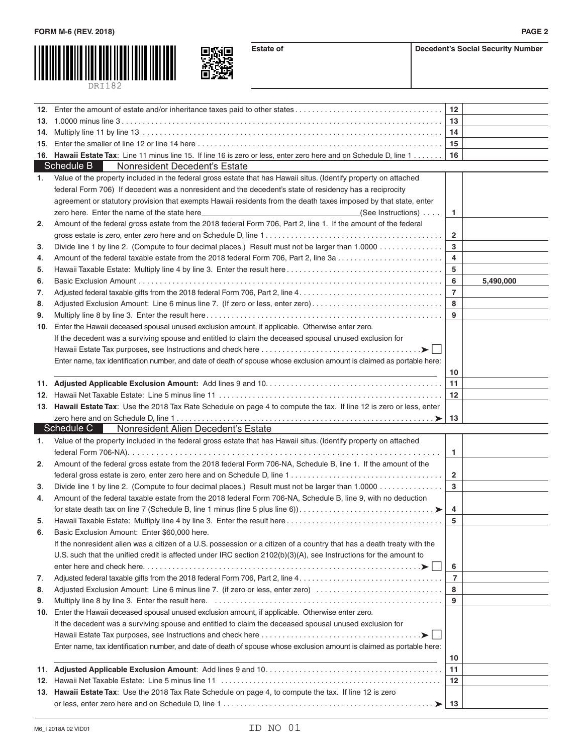



**Estate of Decedent's Social Security Number** 

|     | 12. Enter the amount of estate and/or inheritance taxes paid to other states                                                                                                                                                   | 12                |           |
|-----|--------------------------------------------------------------------------------------------------------------------------------------------------------------------------------------------------------------------------------|-------------------|-----------|
| 13. |                                                                                                                                                                                                                                | 13                |           |
| 14. |                                                                                                                                                                                                                                | 14                |           |
| 15. |                                                                                                                                                                                                                                | 15                |           |
|     | 16. Hawaii Estate Tax: Line 11 minus line 15. If line 16 is zero or less, enter zero here and on Schedule D, line 1                                                                                                            | 16                |           |
|     | Schedule B<br>Nonresident Decedent's Estate                                                                                                                                                                                    |                   |           |
| 1.  | Value of the property included in the federal gross estate that has Hawaii situs. (Identify property on attached                                                                                                               |                   |           |
|     | federal Form 706) If decedent was a nonresident and the decedent's state of residency has a reciprocity                                                                                                                        |                   |           |
|     | agreement or statutory provision that exempts Hawaii residents from the death taxes imposed by that state, enter                                                                                                               |                   |           |
|     | zero here. Enter the name of the state here entering the state of the state here entering the state of the state here entering the state here entering the state here entering the state here entering the state here entering | $\mathbf{1}$      |           |
| 2.  | Amount of the federal gross estate from the 2018 federal Form 706, Part 2, line 1. If the amount of the federal                                                                                                                |                   |           |
|     |                                                                                                                                                                                                                                | $\mathbf{2}$      |           |
| 3.  | Divide line 1 by line 2. (Compute to four decimal places.) Result must not be larger than 1.0000                                                                                                                               | 3                 |           |
| 4.  | Amount of the federal taxable estate from the 2018 federal Form 706, Part 2, line 3a                                                                                                                                           | 4                 |           |
| 5.  |                                                                                                                                                                                                                                | 5                 |           |
| 6.  |                                                                                                                                                                                                                                | 6                 | 5,490,000 |
| 7.  |                                                                                                                                                                                                                                | $\overline{7}$    |           |
| 8.  | Adjusted Exclusion Amount: Line 6 minus line 7. (If zero or less, enter zero)                                                                                                                                                  | 8                 |           |
| 9.  |                                                                                                                                                                                                                                | 9                 |           |
| 10. | Enter the Hawaii deceased spousal unused exclusion amount, if applicable. Otherwise enter zero.                                                                                                                                |                   |           |
|     | If the decedent was a surviving spouse and entitled to claim the deceased spousal unused exclusion for                                                                                                                         |                   |           |
|     |                                                                                                                                                                                                                                |                   |           |
|     |                                                                                                                                                                                                                                |                   |           |
|     | Enter name, tax identification number, and date of death of spouse whose exclusion amount is claimed as portable here:                                                                                                         |                   |           |
|     |                                                                                                                                                                                                                                | 10                |           |
|     |                                                                                                                                                                                                                                | 11<br>12          |           |
|     | 13. Hawaii Estate Tax: Use the 2018 Tax Rate Schedule on page 4 to compute the tax. If line 12 is zero or less, enter                                                                                                          |                   |           |
|     |                                                                                                                                                                                                                                |                   |           |
|     | Schedule C<br>Nonresident Alien Decedent's Estate                                                                                                                                                                              | 13                |           |
|     |                                                                                                                                                                                                                                |                   |           |
| 1.  | Value of the property included in the federal gross estate that has Hawaii situs. (Identify property on attached                                                                                                               |                   |           |
|     |                                                                                                                                                                                                                                | $\mathbf{1}$      |           |
| 2.  | Amount of the federal gross estate from the 2018 federal Form 706-NA, Schedule B, line 1. If the amount of the                                                                                                                 |                   |           |
|     |                                                                                                                                                                                                                                | $\mathbf{2}$<br>3 |           |
| З.  | Divide line 1 by line 2. (Compute to four decimal places.) Result must not be larger than 1.0000<br>Amount of the federal taxable estate from the 2018 federal Form 706-NA, Schedule B, line 9, with no deduction              |                   |           |
| 4.  |                                                                                                                                                                                                                                |                   |           |
|     |                                                                                                                                                                                                                                | 4<br>5            |           |
| 5.  | Hawaii Taxable Estate: Multiply line 4 by line 3. Enter the result here                                                                                                                                                        |                   |           |
| 6.  | Basic Exclusion Amount: Enter \$60,000 here.                                                                                                                                                                                   |                   |           |
|     | If the nonresident alien was a citizen of a U.S. possession or a citizen of a country that has a death treaty with the                                                                                                         |                   |           |
|     | U.S. such that the unified credit is affected under IRC section 2102(b)(3)(A), see Instructions for the amount to                                                                                                              |                   |           |
|     |                                                                                                                                                                                                                                | 6                 |           |
| 7.  |                                                                                                                                                                                                                                | $\overline{7}$    |           |
| 8.  | Adjusted Exclusion Amount: Line 6 minus line 7. (if zero or less, enter zero)                                                                                                                                                  | 8                 |           |
| 9.  |                                                                                                                                                                                                                                | 9                 |           |
| 10. | Enter the Hawaii deceased spousal unused exclusion amount, if applicable. Otherwise enter zero.                                                                                                                                |                   |           |
|     | If the decedent was a surviving spouse and entitled to claim the deceased spousal unused exclusion for                                                                                                                         |                   |           |
|     |                                                                                                                                                                                                                                |                   |           |
|     | Enter name, tax identification number, and date of death of spouse whose exclusion amount is claimed as portable here:                                                                                                         |                   |           |
|     |                                                                                                                                                                                                                                | 10                |           |
| 11. |                                                                                                                                                                                                                                | 11                |           |
| 12. |                                                                                                                                                                                                                                | 12                |           |
|     | 13. Hawaii Estate Tax: Use the 2018 Tax Rate Schedule on page 4, to compute the tax. If line 12 is zero                                                                                                                        |                   |           |
|     |                                                                                                                                                                                                                                | 13                |           |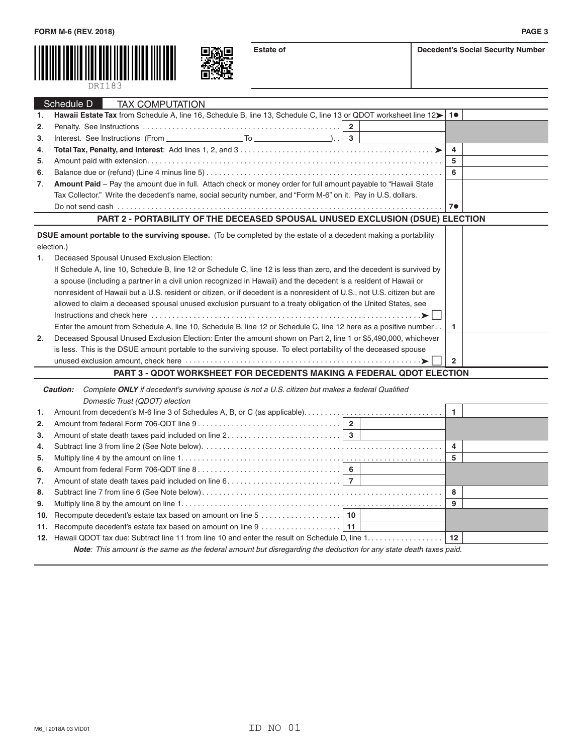



| ecedent's Social Security Number |  |  |
|----------------------------------|--|--|
|----------------------------------|--|--|

|                | Schedule D<br><b>TAX COMPUTATION</b>                                                                                                                                                                                           |                |  |
|----------------|--------------------------------------------------------------------------------------------------------------------------------------------------------------------------------------------------------------------------------|----------------|--|
| 1.             | Hawaii Estate Tax from Schedule A, line 16, Schedule B, line 13, Schedule C, line 13 or QDOT worksheet line $12$   1                                                                                                           |                |  |
| 2.             |                                                                                                                                                                                                                                |                |  |
| 3.             |                                                                                                                                                                                                                                |                |  |
| 4.             |                                                                                                                                                                                                                                | $\overline{a}$ |  |
| 5.             |                                                                                                                                                                                                                                | - 5            |  |
| 6.             |                                                                                                                                                                                                                                | - 6            |  |
| $\mathbf{7}$ . | Amount Paid – Pay the amount due in full. Attach check or money order for full amount payable to "Hawaii State                                                                                                                 |                |  |
|                | Tax Collector." Write the decedent's name, social security number, and "Form M-6" on it. Pay in U.S. dollars.                                                                                                                  |                |  |
|                |                                                                                                                                                                                                                                | 7 <sup>o</sup> |  |
|                | PART 2 - PORTABILITY OF THE DECEASED SPOUSAL UNUSED EXCLUSION (DSUE) ELECTION                                                                                                                                                  |                |  |
|                | <b>DSUE amount portable to the surviving spouse.</b> (To be completed by the estate of a decedent making a portability                                                                                                         |                |  |
|                | election.)                                                                                                                                                                                                                     |                |  |
|                |                                                                                                                                                                                                                                |                |  |
| 1.             | Deceased Spousal Unused Exclusion Election:                                                                                                                                                                                    |                |  |
|                | If Schedule A, line 10, Schedule B, line 12 or Schedule C, line 12 is less than zero, and the decedent is survived by                                                                                                          |                |  |
|                | a spouse (including a partner in a civil union recognized in Hawaii) and the decedent is a resident of Hawaii or                                                                                                               |                |  |
|                | nonresident of Hawaii but a U.S. resident or citizen, or if decedent is a nonresident of U.S., not U.S. citizen but are                                                                                                        |                |  |
|                | allowed to claim a deceased spousal unused exclusion pursuant to a treaty obligation of the United States, see                                                                                                                 |                |  |
|                |                                                                                                                                                                                                                                |                |  |
|                | Enter the amount from Schedule A, line 10, Schedule B, line 12 or Schedule C, line 12 here as a positive number                                                                                                                | -1             |  |
| 2 <sub>1</sub> | Deceased Spousal Unused Exclusion Election: Enter the amount shown on Part 2, line 1 or \$5,490,000, whichever                                                                                                                 |                |  |
|                | is less. This is the DSUE amount portable to the surviving spouse. To elect portability of the deceased spouse                                                                                                                 |                |  |
|                | unused exclusion amount, check here with the contract of the contract of the system of the system of the system of the system of the system of the system of the system of the system of the system of the system of the syste | $\overline{2}$ |  |
|                | <b>PART 3 - QDOT WORKSHEET FOR DECEDENTS MAKING A FEDERAL QDOT ELECTION</b>                                                                                                                                                    |                |  |
|                |                                                                                                                                                                                                                                |                |  |

|     | Domestic Trust (QDOT) election                                                                                             |  |  |   |  |
|-----|----------------------------------------------------------------------------------------------------------------------------|--|--|---|--|
| 1.  |                                                                                                                            |  |  |   |  |
| 2.  |                                                                                                                            |  |  |   |  |
| 3.  |                                                                                                                            |  |  |   |  |
| 4.  |                                                                                                                            |  |  | 4 |  |
| 5.  |                                                                                                                            |  |  | 5 |  |
| 6.  |                                                                                                                            |  |  |   |  |
| 7.  |                                                                                                                            |  |  |   |  |
| 8.  |                                                                                                                            |  |  | 8 |  |
| 9.  |                                                                                                                            |  |  | 9 |  |
| 10. |                                                                                                                            |  |  |   |  |
|     |                                                                                                                            |  |  |   |  |
|     |                                                                                                                            |  |  |   |  |
|     | <b>Note</b> : This amount is the same as the federal amount but disregarding the deduction for any state death taxes paid. |  |  |   |  |
|     |                                                                                                                            |  |  |   |  |